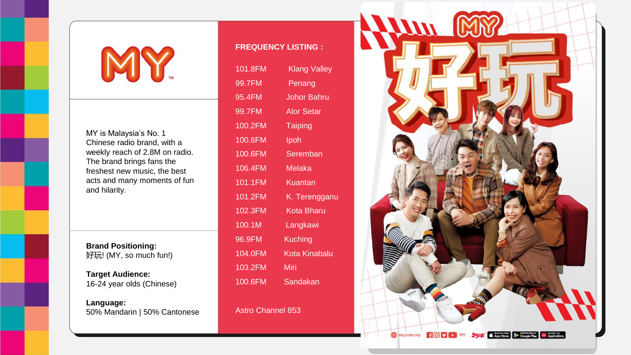## MY

MY is Malaysia's No. 1 Chinese radio brand, with a weekly reach of 2.8M on radio. The brand brings fans the freshest new music, the best acts and many moments of fun and hilarity.

**Brand Positioning:** 好玩! (MY, so much fun!)

**Target Audience:** 16-24 year olds (Chinese)

**Language:** 50% Mandarin | 50% Cantonese

## **FREQUENCY LISTING :**

| 101.8FM | <u>Kla</u> ng Valley |
|---------|----------------------|
| 99.7FM  | Penang               |
| 95.4FM  | Johor Bahru          |
| 99.7FM  | <b>Alor Setar</b>    |
| 100.2FM | <b>Taiping</b>       |
| 100.6FM | Ipoh                 |
| 100.6FM | Seremban             |
| 106.4FM | Melaka               |
| 101.1FM | Kuantan              |
| 101.2FM | K. Terengganu        |
| 102.3FM | Kota Bharu           |
| 100.1M  | Langkawi             |
| 96.9FM  | Kuching              |
| 104.0FM | Kota Kinabalu        |
| 103.2FM | Miri                 |
| 100.6FM | Sandakan             |

Astro Channel 853

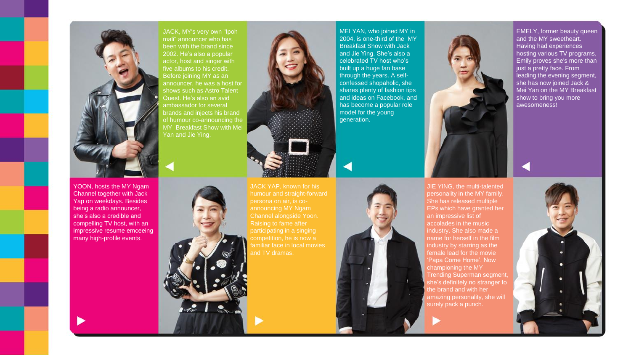

JACK, MY's very own "Ipoh mali" announcer who has been with the brand since 2002. He's also a popular actor, host and singer with five albums to his credit. Before joining MY as an announcer, he was a host for shows such as Astro Talent Quest. He's also an avid ambassador for several brands and injects his brand of humour co-announcing the MY Breakfast Show with Mei Yan and Jie Ying.



MEI YAN, who joined MY in 2004, is one-third of the MY Breakfast Show with Jack and Jie Ying. She's also a celebrated TV host who's built up a huge fan base through the years. A selfconfessed shopaholic, she shares plenty of fashion tips and ideas on Facebook, and has become a popular role model for the young generation.



JIE YING, the multi-talented personality in the MY family. She has released multiple EPs which have granted her an impressive list of accolades in the music industry. She also made a name for herself in the film industry by starring as the female lead for the movie 'Papa Come Home'. Now championing the MY Trending Superman segment, she's definitely no stranger to the brand and with her amazing personality, she will surely pack a punch.

EMELY, former beauty queen and the MY sweetheart. Having had experiences hosting various TV programs, Emily proves she's more than just a pretty face. From leading the evening segment, she has now joined Jack & Mei Yan on the MY Breakfast show to bring you more awesomeness!

YOON, hosts the MY Ngam Channel together with Jack Yap on weekdays. Besides being a radio announcer, she's also a credible and compelling TV host, with an impressive resume emceeing many high-profile events.



JACK YAP, known for his persona on air, is cofamiliar face in local movies